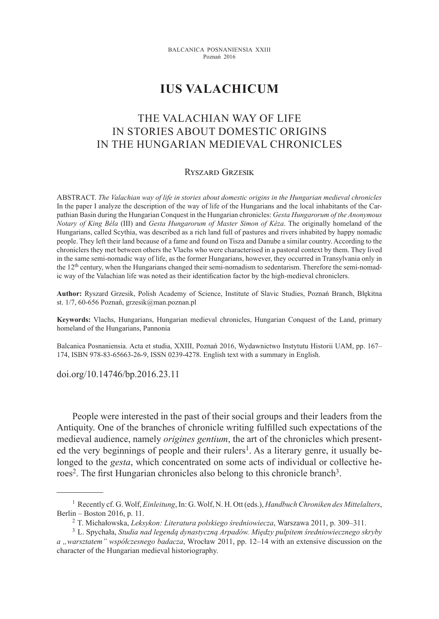# **Ius Valachicum**

## The Valachian Way of Life in Stories about Domestic Origins in the Hungarian Medieval Chronicles

#### Ryszard Grzesik

ABSTRACT. *The Valachian way of life in stories about domestic origins in the Hungarian medieval chronicles* In the paper I analyze the description of the way of life of the Hungarians and the local inhabitants of the Carpathian Basin during the Hungarian Conquest in the Hungarian chronicles: *Gesta Hungarorum of the Anonymous Notary of King Béla* (III) and *Gesta Hungarorum of Master Simon of Kéza*. The originally homeland of the Hungarians, called Scythia, was described as a rich land full of pastures and rivers inhabited by happy nomadic people. They left their land because of a fame and found on Tisza and Danube a similar country. According to the chroniclers they met between others the Vlachs who were characterised in a pastoral context by them. They lived in the same semi-nomadic way of life, as the former Hungarians, however, they occurred in Transylvania only in the 12th century, when the Hungarians changed their semi-nomadism to sedentarism. Therefore the semi-nomadic way of the Valachian life was noted as their identification factor by the high-medieval chroniclers.

**Author:** Ryszard Grzesik, Polish Academy of Science, Institute of Slavic Studies, Poznań Branch, Błękitna st. 1/7, 60-656 Poznań, grzesik@man.poznan.pl

**Keywords:** Vlachs, Hungarians, Hungarian medieval chronicles, Hungarian Conquest of the Land, primary homeland of the Hungarians, Pannonia

Balcanica Posnaniensia. Acta et studia, XXIII, Poznań 2016, Wydawnictwo Instytutu Historii UAM, pp. 167– 174, ISBN 978-83-65663-26-9, ISSN 0239-4278. English text with a summary in English.

doi.org/10.14746/bp.2016.23.11

People were interested in the past of their social groups and their leaders from the Antiquity. One of the branches of chronicle writing fulfilled such expectations of the medieval audience, namely *origines gentium*, the art of the chronicles which presented the very beginnings of people and their rulers<sup>1</sup>. As a literary genre, it usually belonged to the *gesta*, which concentrated on some acts of individual or collective heroes<sup>2</sup>. The first Hungarian chronicles also belong to this chronicle branch<sup>3</sup>.

<sup>1</sup> Recently cf. G. Wolf, *Einleitung*, In: G. Wolf, N. H. Ott (eds.), *Handbuch Chroniken des Mittelalters*, Berlin – Boston 2016, p. 11.

<sup>2</sup> T. Michałowska, *Leksykon: Literatura polskiego średniowiecza*, Warszawa 2011, p. 309–311.

<sup>3</sup> L. Spychała, *Studia nad legendą dynastyczną Arpadów. Między pulpitem średniowiecznego skryby a "warsztatem" współczesnego badacza*, Wrocław 2011, pp. 12–14 with an extensive discussion on the character of the Hungarian medieval historiography.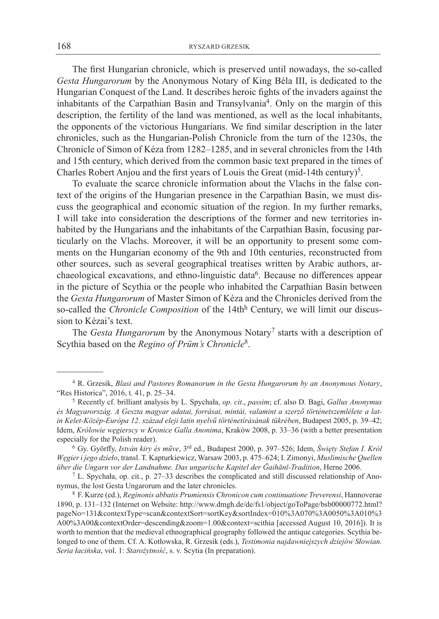The first Hungarian chronicle, which is preserved until nowadays, the so-called *Gesta Hungarorum* by the Anonymous Notary of King Béla III, is dedicated to the Hungarian Conquest of the Land. It describes heroic fights of the invaders against the inhabitants of the Carpathian Basin and Transylvania<sup>4</sup>. Only on the margin of this description, the fertility of the land was mentioned, as well as the local inhabitants, the opponents of the victorious Hungarians. We find similar description in the later chronicles, such as the Hungarian-Polish Chronicle from the turn of the 1230s, the Chronicle of Simon of Kéza from 1282–1285, and in several chronicles from the 14th and 15th century, which derived from the common basic text prepared in the times of Charles Robert Anjou and the first years of Louis the Great (mid-14th century)<sup>5</sup>.

To evaluate the scarce chronicle information about the Vlachs in the false context of the origins of the Hungarian presence in the Carpathian Basin, we must discuss the geographical and economic situation of the region. In my further remarks, I will take into consideration the descriptions of the former and new territories inhabited by the Hungarians and the inhabitants of the Carpathian Basin, focusing particularly on the Vlachs. Moreover, it will be an opportunity to present some comments on the Hungarian economy of the 9th and 10th centuries, reconstructed from other sources, such as several geographical treatises written by Arabic authors, archaeological excavations, and ethno-linguistic data6. Because no differences appear in the picture of Scythia or the people who inhabited the Carpathian Basin between the *Gesta Hungarorum* of Master Simon of Kéza and the Chronicles derived from the so-called the *Chronicle Composition* of the 14thh Century, we will limit our discussion to Kézai's text.

The *Gesta Hungarorum* by the Anonymous Notary7 starts with a description of Scythia based on the *Regino of Prüm's Chronicle*8.

<sup>4</sup> R. Grzesik, *Blasi and Pastores Romanorum in the Gesta Hungarorum by an Anonymous Notary*, "Res Historica", 2016, t. 41, p. 25–34.

<sup>5</sup> Recently cf. brilliant analysis by L. Spychała, *op. cit*., *passim*; cf. also D. Bagi, *Gallus Anonymus és Magyarország. A Geszta magyar adatai, forrásai, mintái, valamint a szerző történetszemlélete a latin Kelet-Közép-Európa 12. század eleji latin nyelvű történetírásának tükrében*, Budapest 2005, p. 39–42; Idem, *Królowie węgierscy w Kronice Galla Anonima*, Kraków 2008, p. 33–36 (with a better presentation especially for the Polish reader).

<sup>6</sup> Gy. Györffy, *István kiry és műve*, 3rd ed., Budapest 2000, p. 397–526; Idem, *Święty Stefan I. Król Węgier i jego dzieło*, transl. T. Kapturkiewicz, Warsaw 2003, p. 475–624; I. Zimonyi, *Muslimische Quellen über die Ungarn vor der Landnahme. Das ungarische Kapitel der Ğaihānī-Tradition*, Herne 2006.

<sup>7</sup> L. Spychała, op. cit., p. 27–33 describes the complicated and still discussed relationship of Anonymus, the lost Gesta Ungarorum and the later chronicles.

<sup>8</sup> F. Kurze (ed.), *Reginonis abbatis Prumiensis Chronicon cum continuatione Treverensi*, Hannoverae 1890, p. 131–132 (Internet on Website: http://www.dmgh.de/de/fs1/object/goToPage/bsb00000772.html? pageNo=131&contextType=scan&contextSort=sortKey&sortIndex=010%3A070%3A0050%3A010%3 A00%3A00&contextOrder=descending&zoom=1.00&context=scithia [accessed August 10, 2016]). It is worth to mention that the medieval ethnographical geography followed the antique categories. Scythia belonged to one of them. Cf. A. Kotłowska, R. Grzesik (eds.), *Testimonia najdawniejszych dziejów Słowian. Seria łacińska*, vol. 1: *Starożytność*, s. v. Scytia (In preparation).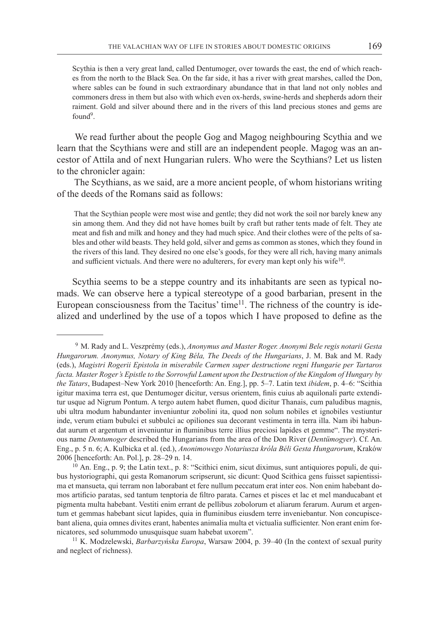Scythia is then a very great land, called Dentumoger, over towards the east, the end of which reaches from the north to the Black Sea. On the far side, it has a river with great marshes, called the Don, where sables can be found in such extraordinary abundance that in that land not only nobles and commoners dress in them but also with which even ox-herds, swine-herds and shepherds adorn their raiment. Gold and silver abound there and in the rivers of this land precious stones and gems are found<sup>9</sup>.

 We read further about the people Gog and Magog neighbouring Scythia and we learn that the Scythians were and still are an independent people. Magog was an ancestor of Attila and of next Hungarian rulers. Who were the Scythians? Let us listen to the chronicler again:

 The Scythians, as we said, are a more ancient people, of whom historians writing of the deeds of the Romans said as follows:

 That the Scythian people were most wise and gentle; they did not work the soil nor barely knew any sin among them. And they did not have homes built by craft but rather tents made of felt. They ate meat and fish and milk and honey and they had much spice. And their clothes were of the pelts of sables and other wild beasts. They held gold, silver and gems as common as stones, which they found in the rivers of this land. They desired no one else's goods, for they were all rich, having many animals and sufficient victuals. And there were no adulterers, for every man kept only his wife<sup>10</sup>.

Scythia seems to be a steppe country and its inhabitants are seen as typical nomads. We can observe here a typical stereotype of a good barbarian, present in the European consciousness from the Tacitus' time<sup>11</sup>. The richness of the country is idealized and underlined by the use of a topos which I have proposed to define as the

<sup>11</sup> K. Modzelewski, *Barbarzyńska Europa*, Warsaw 2004, p. 39–40 (In the context of sexual purity and neglect of richness).

<sup>9</sup> M. Rady and L. Veszprémy (eds.), *Anonymus and Master Roger. Anonymi Bele regis notarii Gesta Hungarorum. Anonymus, Notary of King Béla, The Deeds of the Hungarians*, J. M. Bak and M. Rady (eds.), *Magistri Rogerii Epistola in miserabile Carmen super destructione regni Hungarie per Tartaros facta. Master Roger's Epistle to the Sorrowful Lament upon the Destruction of the Kingdom of Hungary by the Tatars*, Budapest–New York 2010 [henceforth: An. Eng.], pp. 5–7. Latin text *ibidem*, p. 4–6: "Scithia igitur maxima terra est, que Dentumoger dicitur, versus orientem, finis cuius ab aquilonali parte extenditur usque ad Nigrum Pontum. A tergo autem habet flumen, quod dicitur Thanais, cum paludibus magnis, ubi ultra modum habundanter inveniuntur zobolini ita, quod non solum nobiles et ignobiles vestiuntur inde, verum etiam bubulci et subbulci ac opiliones sua decorant vestimenta in terra illa. Nam ibi habundat aurum et argentum et inveniuntur in fluminibus terre illius preciosi lapides et gemme". The mysterious name *Dentumoger* described the Hungarians from the area of the Don River (*Dentümogyer*). Cf. An. Eng., p. 5 n. 6; A. Kulbicka et al. (ed.), *Anonimowego Notariusza króla Béli Gesta Hungarorum*, Kraków 2006 [henceforth: An. Pol.], p. 28–29 n. 14.

<sup>10</sup> An. Eng., p. 9; the Latin text., p. 8: "Scithici enim, sicut diximus, sunt antiquiores populi, de quibus hystoriographi, qui gesta Romanorum scripserunt, sic dicunt: Quod Scithica gens fuisset sapientissima et mansueta, qui terram non laborabant et fere nullum peccatum erat inter eos. Non enim habebant domos artificio paratas, sed tantum tenptoria de filtro parata. Carnes et pisces et lac et mel manducabant et pigmenta multa habebant. Vestiti enim errant de pellibus zobolorum et aliarum ferarum. Aurum et argentum et gemmas habebant sicut lapides, quia in fluminibus eiusdem terre inveniebantur. Non concupiscebant aliena, quia omnes divites erant, habentes animalia multa et victualia sufficienter. Non erant enim fornicatores, sed solummodo unusquisque suam habebat uxorem".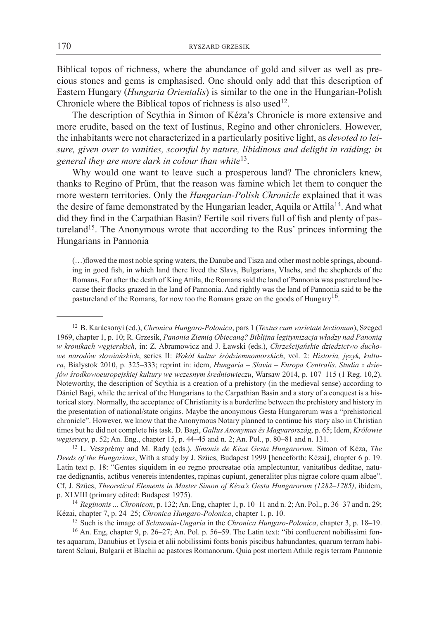Biblical topos of richness, where the abundance of gold and silver as well as precious stones and gems is emphasised. One should only add that this description of Eastern Hungary (*Hungaria Orientalis*) is similar to the one in the Hungarian-Polish Chronicle where the Biblical topos of richness is also used<sup>12</sup>.

The description of Scythia in Simon of Kéza's Chronicle is more extensive and more erudite, based on the text of Iustinus, Regino and other chroniclers. However, the inhabitants were not characterized in a particularly positive light, as *devoted to leisure, given over to vanities, scornful by nature, libidinous and delight in raiding; in general they are more dark in colour than white*13.

Why would one want to leave such a prosperous land? The chroniclers knew, thanks to Regino of Prüm, that the reason was famine which let them to conquer the more western territories. Only the *Hungarian-Polish Chronicle* explained that it was the desire of fame demonstrated by the Hungarian leader, Aquila or Attila<sup>14</sup>. And what did they find in the Carpathian Basin? Fertile soil rivers full of fish and plenty of pastureland<sup>15</sup>. The Anonymous wrote that according to the Rus' princes informing the Hungarians in Pannonia

(…)flowed the most noble spring waters, the Danube and Tisza and other most noble springs, abounding in good fish, in which land there lived the Slavs, Bulgarians, Vlachs, and the shepherds of the Romans. For after the death of King Attila, the Romans said the land of Pannonia was pastureland because their flocks grazed in the land of Pannonia. And rightly was the land of Pannonia said to be the pastureland of the Romans, for now too the Romans graze on the goods of Hungary<sup>16</sup>.

<sup>13</sup> L. Veszprémy and M. Rady (eds.), *Simonis de Kéza Gesta Hungarorum*. Simon of Kéza, *The Deeds of the Hungarians*, With a study by J. Szűcs, Budapest 1999 [henceforth: Kézai], chapter 6 p. 19. Latin text p. 18: "Gentes siquidem in eo regno procreatae otia amplectuntur, vanitatibus deditae, naturae dedignantis, actibus venereis intendentes, rapinas cupiunt, generaliter plus nigrae colore quam albae". Cf, J. Szűcs, *Theoretical Elements in Master Simon of Kéza's Gesta Hungarorum (1282–1285)*, ibidem, p. XLVIII (primary edited: Budapest 1975).

<sup>14</sup> *Reginonis ... Chronicon*, p. 132; An. Eng, chapter 1, p. 10–11 and n. 2; An. Pol., p. 36–37 and n. 29; Kézai, chapter 7, p. 24–25; *Chronica Hungaro-Polonica*, chapter 1, p. 10.

<sup>15</sup> Such is the image of *Sclauonia-Ungaria* in the *Chronica Hungaro-Polonica*, chapter 3, p. 18–19.

<sup>16</sup> An. Eng, chapter 9, p. 26–27; An. Pol. p. 56–59. The Latin text: "ibi confluerent nobilissimi fontes aquarum, Danubius et Tyscia et alii nobilissimi fonts bonis piscibus habundantes, quarum terram habitarent Sclaui, Bulgarii et Blachii ac pastores Romanorum. Quia post mortem Athile regis terram Pannonie

<sup>12</sup> B. Karácsonyi (ed.), *Chronica Hungaro-Polonica*, pars 1 (*Textus cum varietate lectionum*), Szeged 1969, chapter 1, p. 10; R. Grzesik, *Panonia Ziemią Obiecaną? Biblijna legitymizacja władzy nad Panonią w kronikach węgierskich*, in: Z. Abramowicz and J. Ławski (eds.), *Chrześcijańskie dziedzictwo duchowe narodów słowiańskich*, series II: *Wokół kultur śródziemnomorskich*, vol. 2: *Historia, język, kultura*, Białystok 2010, p. 325–333; reprint in: idem, *Hungaria – Slavia – Europa Centralis. Studia z dziejów środkowoeuropejskiej kultury we wczesnym średniowieczu*, Warsaw 2014, p. 107–115 (1 Reg. 10,2). Noteworthy, the description of Scythia is a creation of a prehistory (in the medieval sense) according to Dániel Bagi, while the arrival of the Hungarians to the Carpathian Basin and a story of a conquest is a historical story. Normally, the acceptance of Christianity is a borderline between the prehistory and history in the presentation of national/state origins. Maybe the anonymous Gesta Hungarorum was a "prehistorical chronicle". However, we know that the Anonymous Notary planned to continue his story also in Christian times but he did not complete his task. D. Bagi, *Gallus Anonymus és Magyarország*, p. 65; Idem, *Królowie węgierscy*, p. 52; An. Eng., chapter 15, p. 44–45 and n. 2; An. Pol., p. 80–81 and n. 131.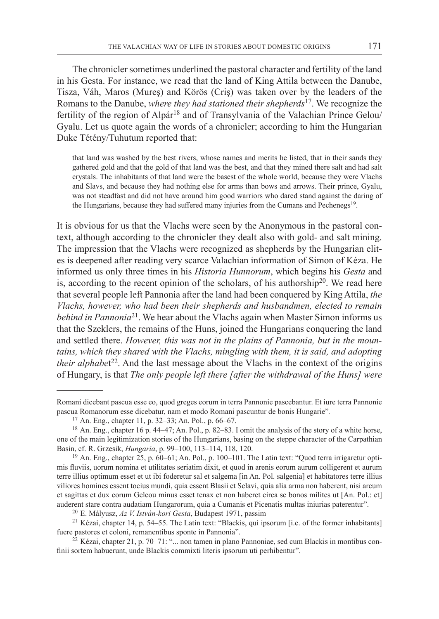The chronicler sometimes underlined the pastoral character and fertility of the land in his Gesta. For instance, we read that the land of King Attila between the Danube, Tisza, Váh, Maros (Mureş) and Körös (Criş) was taken over by the leaders of the Romans to the Danube, *where they had stationed their shepherds*<sup>17</sup>. We recognize the fertility of the region of Alpár<sup>18</sup> and of Transylvania of the Valachian Prince Gelou/ Gyalu. Let us quote again the words of a chronicler; according to him the Hungarian Duke Tétény/Tuhutum reported that:

that land was washed by the best rivers, whose names and merits he listed, that in their sands they gathered gold and that the gold of that land was the best, and that they mined there salt and had salt crystals. The inhabitants of that land were the basest of the whole world, because they were Vlachs and Slavs, and because they had nothing else for arms than bows and arrows. Their prince, Gyalu, was not steadfast and did not have around him good warriors who dared stand against the daring of the Hungarians, because they had suffered many injuries from the Cumans and Pechenegs<sup>19</sup>.

It is obvious for us that the Vlachs were seen by the Anonymous in the pastoral context, although according to the chronicler they dealt also with gold- and salt mining. The impression that the Vlachs were recognized as shepherds by the Hungarian elites is deepened after reading very scarce Valachian information of Simon of Kéza. He informed us only three times in his *Historia Hunnorum*, which begins his *Gesta* and is, according to the recent opinion of the scholars, of his authorship<sup>20</sup>. We read here that several people left Pannonia after the land had been conquered by King Attila, *the Vlachs, however, who had been their shepherds and husbandmen, elected to remain behind in Pannonia*21. We hear about the Vlachs again when Master Simon informs us that the Szeklers, the remains of the Huns, joined the Hungarians conquering the land and settled there. *However, this was not in the plains of Pannonia, but in the mountains, which they shared with the Vlachs, mingling with them, it is said, and adopting their alphabet*<sup>22</sup>. And the last message about the Vlachs in the context of the origins of Hungary, is that *The only people left there [after the withdrawal of the Huns] were* 

Romani dicebant pascua esse eo, quod greges eorum in terra Pannonie pascebantur. Et iure terra Pannonie pascua Romanorum esse dicebatur, nam et modo Romani pascuntur de bonis Hungarie"*.* 

<sup>17</sup> An. Eng., chapter 11, p. 32–33; An. Pol., p. 66–67.

<sup>18</sup> An. Eng., chapter 16 p. 44–47; An. Pol., p. 82–83. I omit the analysis of the story of a white horse, one of the main legitimization stories of the Hungarians, basing on the steppe character of the Carpathian Basin, cf. R. Grzesik, *Hungaria*, p. 99–100, 113–114, 118, 120.

<sup>19</sup> An. Eng., chapter 25, p. 60–61; An. Pol., p. 100–101. The Latin text: "Quod terra irrigaretur optimis fluviis, uorum nomina et utilitates seriatim dixit, et quod in arenis eorum aurum colligerent et aurum terre illius optimum esset et ut ibi foderetur sal et salgema [in An. Pol. salgenia] et habitatores terre illius viliores homines essent tocius mundi, quia essent Blasii et Sclavi, quia alia arma non haberent, nisi arcum et sagittas et dux eorum Geleou minus esset tenax et non haberet circa se bonos milites ut [An. Pol.: et] auderent stare contra audatiam Hungarorum, quia a Cumanis et Picenatis multas iniurias paterentur".

<sup>20</sup> E. Mályusz, *Az V. István-kori Gesta*, Budapest 1971, passim

<sup>&</sup>lt;sup>21</sup> Kézai, chapter 14, p. 54–55. The Latin text: "Blackis, qui ipsorum [i.e. of the former inhabitants] fuere pastores et coloni, remanentibus sponte in Pannonia".

 $22$  Kézai, chapter 21, p. 70–71: "... non tamen in plano Pannoniae, sed cum Blackis in montibus confinii sortem habuerunt, unde Blackis commixti literis ipsorum uti perhibentur".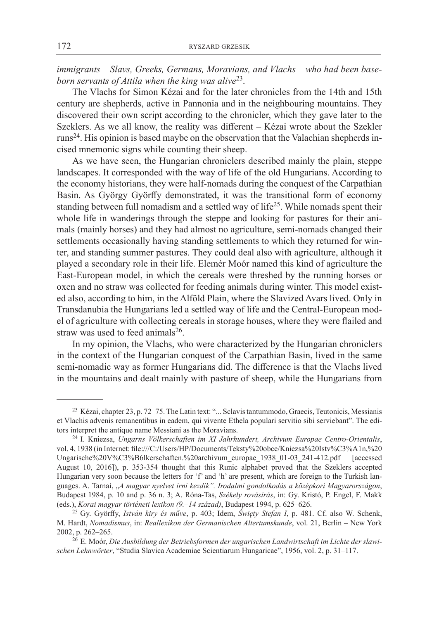*immigrants – Slavs, Greeks, Germans, Moravians, and Vlachs – who had been baseborn servants of Attila when the king was alive*<sup>23</sup>.

The Vlachs for Simon Kézai and for the later chronicles from the 14th and 15th century are shepherds, active in Pannonia and in the neighbouring mountains. They discovered their own script according to the chronicler, which they gave later to the Szeklers. As we all know, the reality was different – Kézai wrote about the Szekler runs24. His opinion is based maybe on the observation that the Valachian shepherds incised mnemonic signs while counting their sheep.

As we have seen, the Hungarian chroniclers described mainly the plain, steppe landscapes. It corresponded with the way of life of the old Hungarians. According to the economy historians, they were half-nomads during the conquest of the Carpathian Basin. As György Györffy demonstrated, it was the transitional form of economy standing between full nomadism and a settled way of life<sup>25</sup>. While nomads spent their whole life in wanderings through the steppe and looking for pastures for their animals (mainly horses) and they had almost no agriculture, semi-nomads changed their settlements occasionally having standing settlements to which they returned for winter, and standing summer pastures. They could deal also with agriculture, although it played a secondary role in their life. Elemér Moór named this kind of agriculture the East-European model, in which the cereals were threshed by the running horses or oxen and no straw was collected for feeding animals during winter. This model existed also, according to him, in the Alföld Plain, where the Slavized Avars lived. Only in Transdanubia the Hungarians led a settled way of life and the Central-European model of agriculture with collecting cereals in storage houses, where they were flailed and straw was used to feed animals $26$ .

In my opinion, the Vlachs, who were characterized by the Hungarian chroniclers in the context of the Hungarian conquest of the Carpathian Basin, lived in the same semi-nomadic way as former Hungarians did. The difference is that the Vlachs lived in the mountains and dealt mainly with pasture of sheep, while the Hungarians from

<sup>&</sup>lt;sup>23</sup> Kézai, chapter 23, p. 72–75. The Latin text: "... Sclavis tantummodo, Graecis, Teutonicis, Messianis et Vlachis advenis remanentibus in eadem, qui vivente Ethela populari servitio sibi serviebant". The editors interpret the antique name Messiani as the Moravians.

<sup>24</sup> I. Kniezsa, *Ungarns Völkerschaften im XI Jahrhundert, Archivum Europae Centro-Orientalis*, vol. 4, 1938 (in Internet: file:///C:/Users/HP/Documents/Teksty%20obce/Kniezsa%20Istv%C3%A1n,%20 Ungarische%20V%C3%B6lkerschaften.%20archivum\_europae\_1938\_01-03\_241-412.pdf [accessed August 10, 2016]), p. 353-354 thought that this Runic alphabet proved that the Szeklers accepted Hungarian very soon because the letters for 'f' and 'h' are present, which are foreign to the Turkish languages. A. Tarnai, "*A magyar nyelvet írni kezdik". Irodalmi gondolkodás a középkori Magyarországon*, Budapest 1984, p. 10 and p. 36 n. 3; A. Róna-Tas, *Székely rovásírás*, in: Gy. Kristó, P. Engel, F. Makk (eds.), *Korai magyar történeti lexikon (9.–14 század)*, Budapest 1994, p. 625–626.

<sup>25</sup> Gy. Györffy, *István kiry és műve*, p. 403; Idem, *Święty Stefan I*, p. 481. Cf. also W. Schenk, M. Hardt, *Nomadismus*, in: *Reallexikon der Germanischen Altertumskunde*, vol. 21, Berlin – New York 2002, p. 262–265.

<sup>26</sup> E. Moór, *Die Ausbildung der Betriebsformen der ungarischen Landwirtschaft im Lichte der slawischen Lehnwörter*, "Studia Slavica Academiae Scientiarum Hungaricae", 1956, vol. 2, p. 31–117.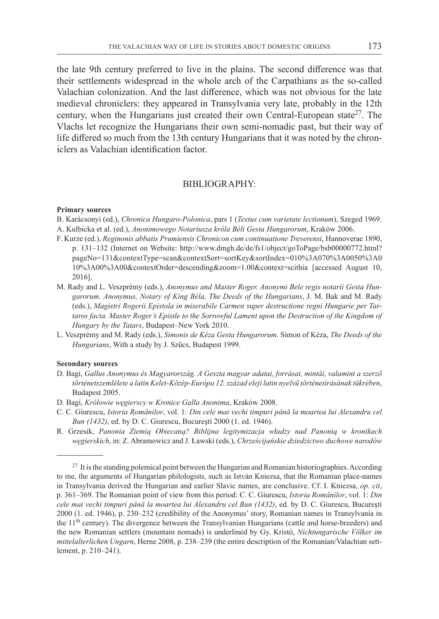the late 9th century preferred to live in the plains. The second difference was that their settlements widespread in the whole arch of the Carpathians as the so-called Valachian colonization. And the last difference, which was not obvious for the late medieval chroniclers: they appeared in Transylvania very late, probably in the 12th century, when the Hungarians just created their own Central-European state<sup>27</sup>. The Vlachs let recognize the Hungarians their own semi-nomadic past, but their way of life differed so much from the 13th century Hungarians that it was noted by the chroniclers as Valachian identification factor.

### Bibliography:

#### **Primary sources**

- B. Karácsonyi (ed.), *Chronica Hungaro-Polonica*, pars 1 (*Textus cum varietate lectionum*), Szeged 1969.
- A. Kulbicka et al. (ed.), *Anonimowego Notariusza króla Béli Gesta Hungarorum*, Kraków 2006.
- F. Kurze (ed.), *Reginonis abbatis Prumiensis Chronicon cum continuatione Treverensi*, Hannoverae 1890, p. 131–132 (Internet on Website: http://www.dmgh.de/de/fs1/object/goToPage/bsb00000772.html? pageNo=131&contextType=scan&contextSort=sortKey&sortIndex=010%3A070%3A0050%3A0 10%3A00%3A00&contextOrder=descending&zoom=1.00&context=scithia [accessed August 10, 2016].
- M. Rady and L. Veszprémy (eds.), *Anonymus and Master Roger. Anonymi Bele regis notarii Gesta Hungarorum. Anonymus, Notary of King Béla, The Deeds of the Hungarians*, J. M. Bak and M. Rady (eds.), *Magistri Rogerii Epistola in miserabile Carmen super destructione regni Hungarie per Tartaros facta. Master Roger's Epistle to the Sorrowful Lament upon the Destruction of the Kingdom of Hungary by the Tatars*, Budapest–New York 2010.
- L. Veszprémy and M. Rady (eds.), *Simonis de Kéza Gesta Hungarorum*. Simon of Kéza, *The Deeds of the Hungarians*, With a study by J. Szűcs, Budapest 1999.

#### **Secondary sources**

- D. Bagi, *Gallus Anonymus és Magyarország. A Geszta magyar adatai, forrásai, mintái, valamint a szerző történetszemlélete a latin Kelet-Közép-Európa 12. század eleji latin nyelvű történetírásának tükrében*, Budapest 2005.
- D. Bagi, *Królowie węgierscy w Kronice Galla Anonima*, Kraków 2008.
- C. C. Giurescu, *Istoria Românilor*, vol. 1: *Din cele mai vechi timpuri până la moartea lui Alexandru cel Bun (1432)*, ed. by D. C. Giurescu, Bucureşti 2000 (1. ed. 1946).
- R. Grzesik, *Panonia Ziemią Obiecaną? Biblijna legitymizacja władzy nad Panonią w kronikach węgierskich*, in: Z. Abramowicz and J. Ławski (eds.), *Chrześcijańskie dziedzictwo duchowe narodów*

<sup>&</sup>lt;sup>27</sup> It is the standing polemical point between the Hungarian and Romanian historiographies. According to me, the arguments of Hungarian philologists, such as István Kniezsa, that the Romanian place-names in Transylvania derived the Hungarian and earlier Slavic names, are conclusive. Cf. I. Kniezsa, *op. cit*, p. 361–369. The Romanian point of view from this period: C. C. Giurescu, *Istoria Românilor*, vol. 1: *Din cele mai vechi timpuri până la moartea lui Alexandru cel Bun (1432)*, ed. by D. C. Giurescu, Bucureşti 2000 (1. ed. 1946), p. 230–232 (credibility of the Anonymus' story, Romanian names in Transylvania in the 11<sup>th</sup> century). The divergence between the Transylvanian Hungarians (cattle and horse-breeders) and the new Romanian settlers (mountain nomads) is underlined by Gy. Kristó, *Nichtungarische Völker im mittelalterlichen Ungarn*, Herne 2008, p. 238–239 (the entire description of the Romanian/Valachian settlement, p. 210–241).